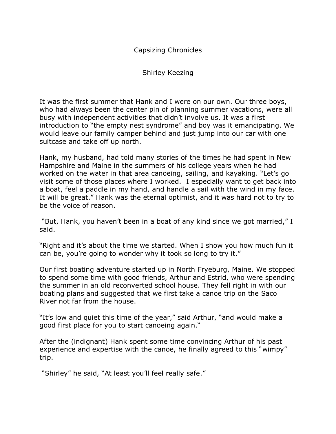Capsizing Chronicles

Shirley Keezing

It was the first summer that Hank and I were on our own. Our three boys, who had always been the center pin of planning summer vacations, were all busy with independent activities that didn't involve us. It was a first introduction to "the empty nest syndrome" and boy was it emancipating. We would leave our family camper behind and just jump into our car with one suitcase and take off up north.

Hank, my husband, had told many stories of the times he had spent in New Hampshire and Maine in the summers of his college years when he had worked on the water in that area canoeing, sailing, and kayaking. "Let's go visit some of those places where I worked. I especially want to get back into a boat, feel a paddle in my hand, and handle a sail with the wind in my face. It will be great." Hank was the eternal optimist, and it was hard not to try to be the voice of reason.

"But, Hank, you haven't been in a boat of any kind since we got married," I said.

"Right and it's about the time we started. When I show you how much fun it can be, you're going to wonder why it took so long to try it."

Our first boating adventure started up in North Fryeburg, Maine. We stopped to spend some time with good friends, Arthur and Estrid, who were spending the summer in an old reconverted school house. They fell right in with our boating plans and suggested that we first take a canoe trip on the Saco River not far from the house.

"It's low and quiet this time of the year," said Arthur, "and would make a good first place for you to start canoeing again."

After the (indignant) Hank spent some time convincing Arthur of his past experience and expertise with the canoe, he finally agreed to this "wimpy" trip.

"Shirley" he said, "At least you'll feel really safe."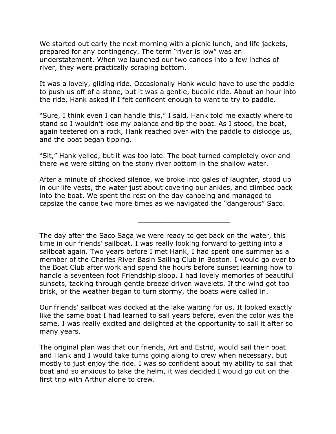We started out early the next morning with a picnic lunch, and life jackets, prepared for any contingency. The term "river is low" was an understatement. When we launched our two canoes into a few inches of river, they were practically scraping bottom.

It was a lovely, gliding ride. Occasionally Hank would have to use the paddle to push us off of a stone, but it was a gentle, bucolic ride. About an hour into the ride, Hank asked if I felt confident enough to want to try to paddle.

"Sure, I think even I can handle this," I said. Hank told me exactly where to stand so I wouldn't lose my balance and tip the boat. As I stood, the boat, again teetered on a rock, Hank reached over with the paddle to dislodge us, and the boat began tipping.

"Sit," Hank yelled, but it was too late. The boat turned completely over and there we were sitting on the stony river bottom in the shallow water.

After a minute of shocked silence, we broke into gales of laughter, stood up in our life vests, the water just about covering our ankles, and climbed back into the boat. We spent the rest on the day canoeing and managed to capsize the canoe two more times as we navigated the "dangerous" Saco.

\_\_\_\_\_\_\_\_\_\_\_\_\_\_\_\_\_\_\_\_\_\_

The day after the Saco Saga we were ready to get back on the water, this time in our friends' sailboat. I was really looking forward to getting into a sailboat again. Two years before I met Hank, I had spent one summer as a member of the Charles River Basin Sailing Club in Boston. I would go over to the Boat Club after work and spend the hours before sunset learning how to handle a seventeen foot Friendship sloop. I had lovely memories of beautiful sunsets, tacking through gentle breeze driven wavelets. If the wind got too brisk, or the weather began to turn stormy, the boats were called in.

Our friends' sailboat was docked at the lake waiting for us. It looked exactly like the same boat I had learned to sail years before, even the color was the same. I was really excited and delighted at the opportunity to sail it after so many years.

The original plan was that our friends, Art and Estrid, would sail their boat and Hank and I would take turns going along to crew when necessary, but mostly to just enjoy the ride. I was so confident about my ability to sail that boat and so anxious to take the helm, it was decided I would go out on the first trip with Arthur alone to crew.